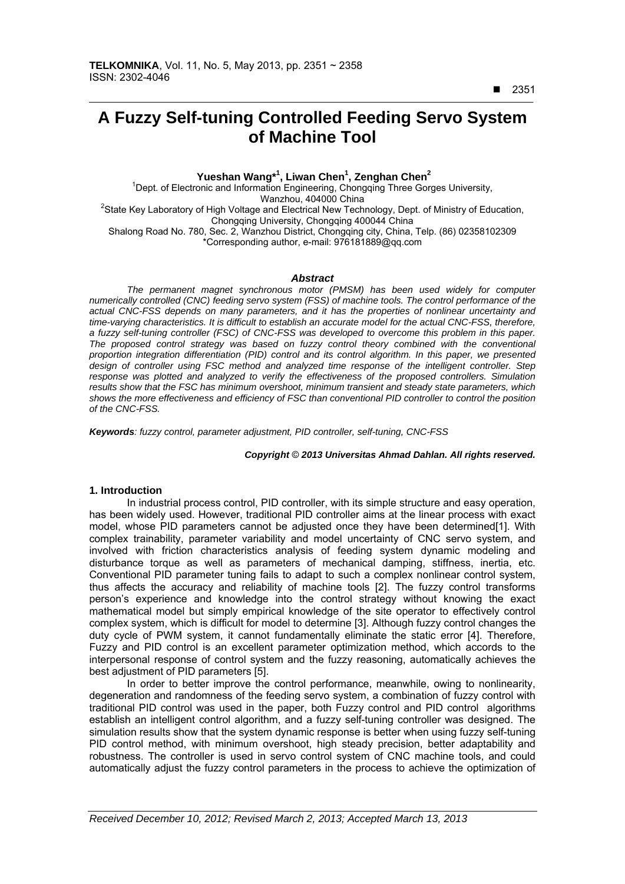■ 2351

 $\overline{a}$ 

# **A Fuzzy Self-tuning Controlled Feeding Servo System of Machine Tool**

 **Yueshan Wang\*<sup>1</sup> , Liwan Chen<sup>1</sup> , Zenghan Chen2**

<sup>1</sup>Dept. of Electronic and Information Engineering, Chongqing Three Gorges University, Wanzhou, 404000 China<br>State Key Laboratory of High Voltage and Electrical New Technology, Dept. of Ministry of Education, Chongqing University, Chongqing 400044 China Shalong Road No. 780, Sec. 2, Wanzhou District, Chongqing city, China, Telp. (86) 02358102309 \*Corresponding author, e-mail: 976181889@qq.com

#### *Abstract*

*The permanent magnet synchronous motor (PMSM) has been used widely for computer numerically controlled (CNC) feeding servo system (FSS) of machine tools. The control performance of the actual CNC-FSS depends on many parameters, and it has the properties of nonlinear uncertainty and time-varying characteristics. It is difficult to establish an accurate model for the actual CNC-FSS, therefore, a fuzzy self-tuning controller (FSC) of CNC-FSS was developed to overcome this problem in this paper. The proposed control strategy was based on fuzzy control theory combined with the conventional proportion integration differentiation (PID) control and its control algorithm. In this paper, we presented design of controller using FSC method and analyzed time response of the intelligent controller. Step*  response was plotted and analyzed to verify the effectiveness of the proposed controllers. Simulation *results show that the FSC has minimum overshoot, minimum transient and steady state parameters, which shows the more effectiveness and efficiency of FSC than conventional PID controller to control the position of the CNC-FSS.* 

*Keywords: fuzzy control, parameter adjustment, PID controller, self-tuning, CNC-FSS* 

#### *Copyright* © *2013 Universitas Ahmad Dahlan. All rights reserved.*

#### **1. Introduction**

In industrial process control, PID controller, with its simple structure and easy operation, has been widely used. However, traditional PID controller aims at the linear process with exact model, whose PID parameters cannot be adjusted once they have been determined[1]. With complex trainability, parameter variability and model uncertainty of CNC servo system, and involved with friction characteristics analysis of feeding system dynamic modeling and disturbance torque as well as parameters of mechanical damping, stiffness, inertia, etc. Conventional PID parameter tuning fails to adapt to such a complex nonlinear control system, thus affects the accuracy and reliability of machine tools [2]. The fuzzy control transforms person's experience and knowledge into the control strategy without knowing the exact mathematical model but simply empirical knowledge of the site operator to effectively control complex system, which is difficult for model to determine [3]. Although fuzzy control changes the duty cycle of PWM system, it cannot fundamentally eliminate the static error [4]. Therefore, Fuzzy and PID control is an excellent parameter optimization method, which accords to the interpersonal response of control system and the fuzzy reasoning, automatically achieves the best adjustment of PID parameters [5].

In order to better improve the control performance, meanwhile, owing to nonlinearity, degeneration and randomness of the feeding servo system, a combination of fuzzy control with traditional PID control was used in the paper, both Fuzzy control and PID control algorithms establish an intelligent control algorithm, and a fuzzy self-tuning controller was designed. The simulation results show that the system dynamic response is better when using fuzzy self-tuning PID control method, with minimum overshoot, high steady precision, better adaptability and robustness. The controller is used in servo control system of CNC machine tools, and could automatically adjust the fuzzy control parameters in the process to achieve the optimization of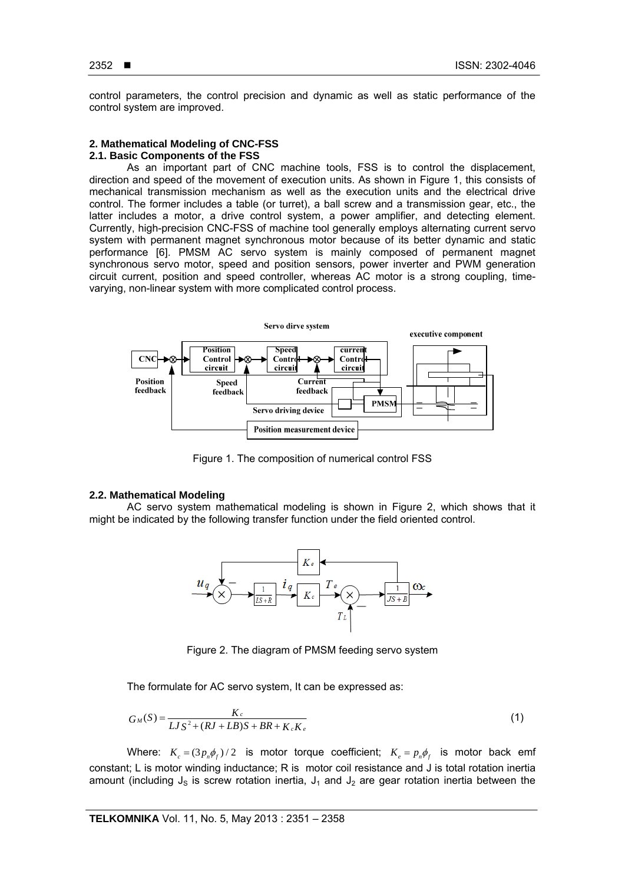control parameters, the control precision and dynamic as well as static performance of the control system are improved.

# **2. Mathematical Modeling of CNC-FSS**

# **2.1. Basic Components of the FSS**

As an important part of CNC machine tools, FSS is to control the displacement, direction and speed of the movement of execution units. As shown in Figure 1, this consists of mechanical transmission mechanism as well as the execution units and the electrical drive control. The former includes a table (or turret), a ball screw and a transmission gear, etc., the latter includes a motor, a drive control system, a power amplifier, and detecting element. Currently, high-precision CNC-FSS of machine tool generally employs alternating current servo system with permanent magnet synchronous motor because of its better dynamic and static performance [6]. PMSM AC servo system is mainly composed of permanent magnet synchronous servo motor, speed and position sensors, power inverter and PWM generation circuit current, position and speed controller, whereas AC motor is a strong coupling, timevarying, non-linear system with more complicated control process.



Figure 1. The composition of numerical control FSS

# **2.2. Mathematical Modeling**

AC servo system mathematical modeling is shown in Figure 2, which shows that it might be indicated by the following transfer function under the field oriented control.



Figure 2. The diagram of PMSM feeding servo system

The formulate for AC servo system, It can be expressed as:

$$
G_M(S) = \frac{K_c}{L J S^2 + (R J + L B) S + B R + K_c K_e}
$$
\n(1)

Where:  $K_c = (3 p_n \phi_r)/2$  is motor torque coefficient;  $K_c = p_n \phi_r$  is motor back emf constant; L is motor winding inductance; R is motor coil resistance and J is total rotation inertia amount (including  $J_s$  is screw rotation inertia,  $J_1$  and  $J_2$  are gear rotation inertia between the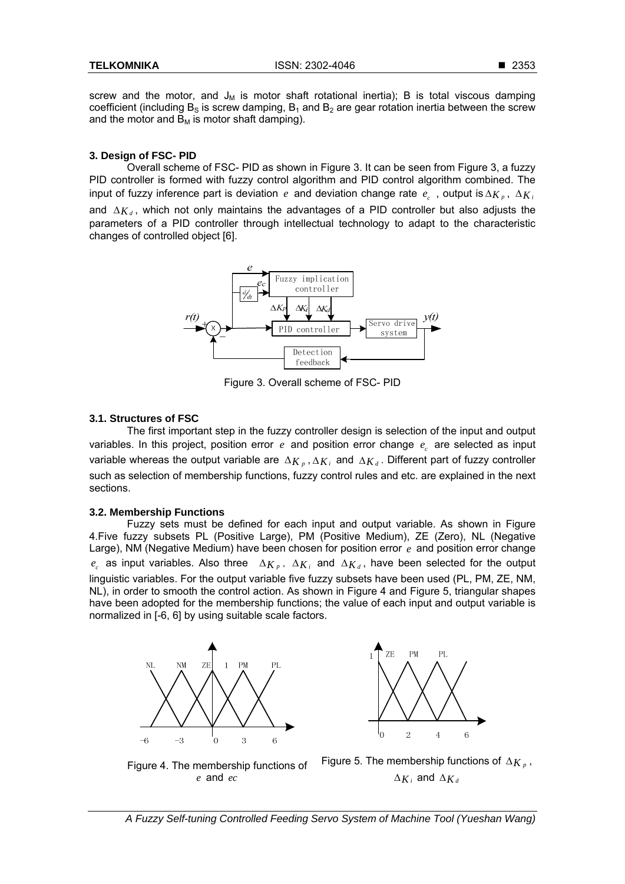screw and the motor, and  $J_M$  is motor shaft rotational inertia); B is total viscous damping coefficient (including  $B_s$  is screw damping,  $B_1$  and  $B_2$  are gear rotation inertia between the screw and the motor and  $B_M$  is motor shaft damping).

#### **3. Design of FSC- PID**

Overall scheme of FSC- PID as shown in Figure 3. It can be seen from Figure 3, a fuzzy PID controller is formed with fuzzy control algorithm and PID control algorithm combined. The input of fuzzy inference part is deviation *e* and deviation change rate  $e_c$ , output is  $\Delta K_p$ ,  $\Delta K_i$ and  $\Delta K_d$ , which not only maintains the advantages of a PID controller but also adjusts the parameters of a PID controller through intellectual technology to adapt to the characteristic changes of controlled object [6].



Figure 3. Overall scheme of FSC- PID

# **3.1. Structures of FSC**

The first important step in the fuzzy controller design is selection of the input and output variables. In this project, position error *e* and position error change *<sup>c</sup> e* are selected as input variable whereas the output variable are  $\Delta K_p$ ,  $\Delta K_i$  and  $\Delta K_d$ . Different part of fuzzy controller such as selection of membership functions, fuzzy control rules and etc. are explained in the next sections.

# **3.2. Membership Functions**

Fuzzy sets must be defined for each input and output variable. As shown in Figure 4.Five fuzzy subsets PL (Positive Large), PM (Positive Medium), ZE (Zero), NL (Negative Large), NM (Negative Medium) have been chosen for position error *e* and position error change  $e_c$  as input variables. Also three  $\Delta K_p$ ,  $\Delta K_i$  and  $\Delta K_d$ , have been selected for the output linguistic variables. For the output variable five fuzzy subsets have been used (PL, PM, ZE, NM, NL), in order to smooth the control action. As shown in Figure 4 and Figure 5, triangular shapes have been adopted for the membership functions; the value of each input and output variable is normalized in [-6, 6] by using suitable scale factors.





Figure 4. The membership functions of *e* and *ec*

*A Fuzzy Self-tuning Controlled Feeding Servo System of Machine Tool (Yueshan Wang)*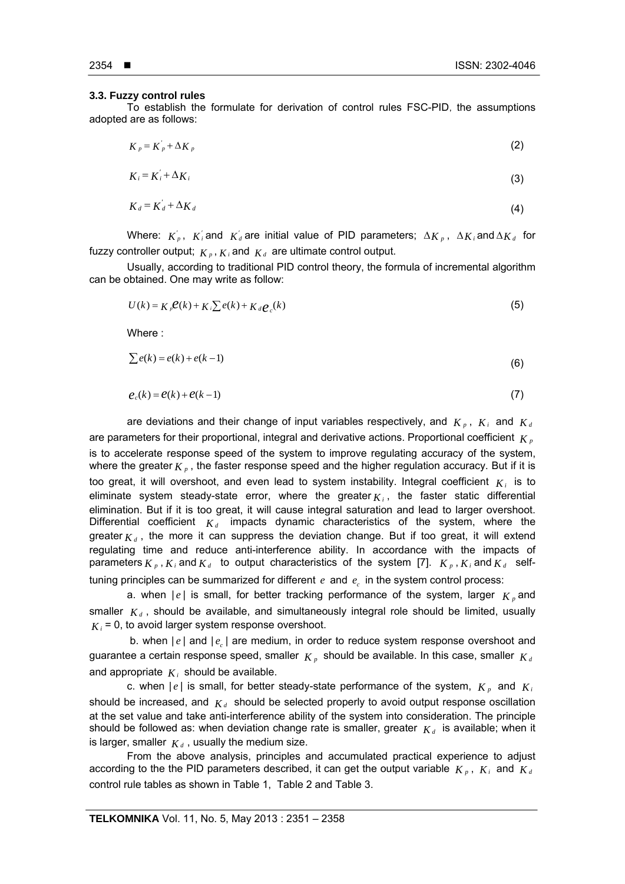#### **3.3. Fuzzy control rules**

To establish the formulate for derivation of control rules FSC-PID, the assumptions adopted are as follows:

$$
K_p = K_p^{'} + \Delta_{K_p}
$$
 (2)

$$
K_i = K_i + \Delta K_i \tag{3}
$$

$$
K_d = K_d + \Delta K_d \tag{4}
$$

Where:  $K_p'$ ,  $K_i$  and  $K_d$  are initial value of PID parameters;  $\Delta_{K_p}$ ,  $\Delta_{K_i}$  and  $\Delta_{K_d}$  for fuzzy controller output;  $K_p$ ,  $K_i$  and  $K_d$  are ultimate control output.

Usually, according to traditional PID control theory, the formula of incremental algorithm can be obtained. One may write as follow:

$$
U(k) = K_{\rho} \mathcal{C}(k) + K_{i} \sum e(k) + K_{d} \mathcal{C}_{c}(k)
$$
\n(5)

Where :

$$
\sum e(k) = e(k) + e(k-1) \tag{6}
$$

$$
e_c(k) = e(k) + e(k-1)
$$
\n(7)

are deviations and their change of input variables respectively, and  $K_p$ ,  $K_i$  and  $K_d$ are parameters for their proportional, integral and derivative actions. Proportional coefficient  $K<sub>p</sub>$ is to accelerate response speed of the system to improve regulating accuracy of the system, where the greater  $K_p$ , the faster response speed and the higher regulation accuracy. But if it is too great, it will overshoot, and even lead to system instability. Integral coefficient  $K_i$  is to eliminate system steady-state error, where the greater  $K_i$ , the faster static differential elimination. But if it is too great, it will cause integral saturation and lead to larger overshoot. Differential coefficient  $K_d$  impacts dynamic characteristics of the system, where the greater  $K_d$ , the more it can suppress the deviation change. But if too great, it will extend regulating time and reduce anti-interference ability. In accordance with the impacts of parameters  $K_p$ ,  $K_i$  and  $K_d$  to output characteristics of the system [7].  $K_p$ ,  $K_i$  and  $K_d$  selftuning principles can be summarized for different *e* and *<sup>c</sup> e* in the system control process:

a. when  $|e|$  is small, for better tracking performance of the system, larger  $K<sub>p</sub>$  and smaller  $K_d$ , should be available, and simultaneously integral role should be limited, usually  $K_i = 0$ , to avoid larger system response overshoot.

b. when  $|e|$  and  $|e|$  are medium, in order to reduce system response overshoot and guarantee a certain response speed, smaller  $K_p$  should be available. In this case, smaller  $K_d$ and appropriate  $K_i$  should be available.

c. when  $|e|$  is small, for better steady-state performance of the system,  $K_p$  and  $K_i$ should be increased, and  $K_d$  should be selected properly to avoid output response oscillation at the set value and take anti-interference ability of the system into consideration. The principle should be followed as: when deviation change rate is smaller, greater  $K_d$  is available; when it is larger, smaller  $K_d$ , usually the medium size.

From the above analysis, principles and accumulated practical experience to adjust according to the the PID parameters described, it can get the output variable  $K_p$ ,  $K_i$  and  $K_d$ control rule tables as shown in Table 1, Table 2 and Table 3.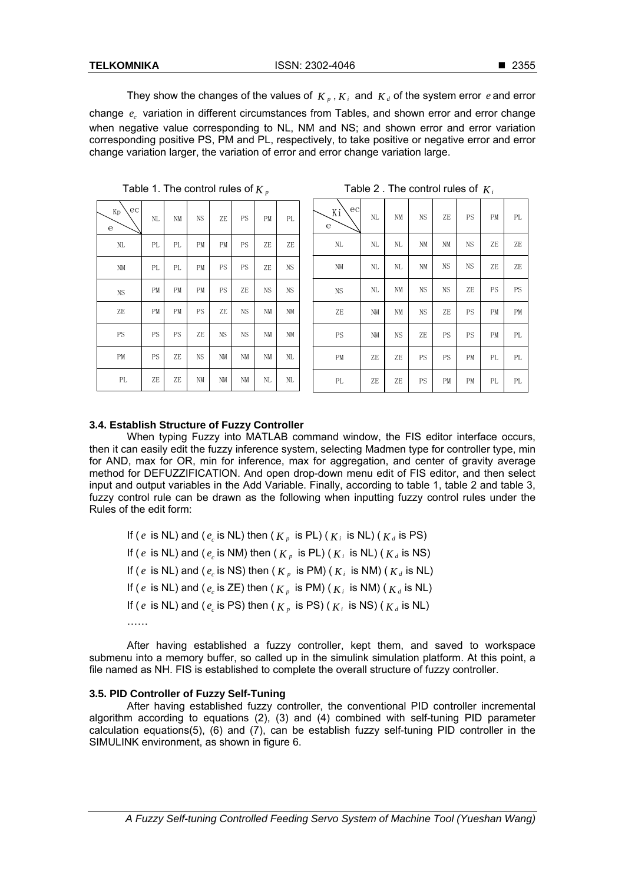They show the changes of the values of  $K_p$ ,  $K_i$  and  $K_d$  of the system error *e* and error change *<sup>c</sup> e* variation in different circumstances from Tables, and shown error and error change when negative value corresponding to NL, NM and NS; and shown error and error variation corresponding positive PS, PM and PL, respectively, to take positive or negative error and error change variation larger, the variation of error and error change variation large.

| ec<br>Kp<br>$\mathbf e$ | NL  | NM  | NS | ZE | PS        | PМ | PL |
|-------------------------|-----|-----|----|----|-----------|----|----|
| NL                      | PL. | PL. | PМ | PМ | PS        | ZE | ZE |
| NM                      | PL  | PL  | PM | PS | PS        | ZE | NS |
| <b>NS</b>               | PM  | PM  | PМ | PS | ZE        | NS | NS |
| ZE                      | PM  | PM  | PS | ZE | <b>NS</b> | NM | NM |
| PS                      | PS  | PS  | ZE | NS | <b>NS</b> | NM | NM |
| PM                      | PS  | ZE  | NS | NM | NM        | NM | NL |
| PL.                     | ZE  | ZE  | NM | NM | NM        | NL | NL |

Table 1. The control rules of  $K_p$  Table 2 . The control rules of  $K_i$ 

| ec <br>Κi<br>$\mathbf e$ | NL | NΜ        | NS        | ZE        | PS        | PM | PL |
|--------------------------|----|-----------|-----------|-----------|-----------|----|----|
| NL                       | NL | NL        | NM        | NM        | <b>NS</b> | ZE | ZE |
| NM                       | NL | NL        | NM        | <b>NS</b> | <b>NS</b> | ZE | ZE |
| <b>NS</b>                | NL | NM        | <b>NS</b> | NS        | ZE        | PS | PS |
| ZE                       | NM | NM        | <b>NS</b> | ZE        | PS        | PM | PM |
| PS                       | NM | <b>NS</b> | ZE        | PS        | PS        | PM | PL |
| PМ                       | ZE | ZE        | PS        | PS        | PM        | PL | PL |
| PL                       | ZE | ZE        | PS        | PM        | PМ        | PL | PL |

# **3.4. Establish Structure of Fuzzy Controller**

When typing Fuzzy into MATLAB command window, the FIS editor interface occurs, then it can easily edit the fuzzy inference system, selecting Madmen type for controller type, min for AND, max for OR, min for inference, max for aggregation, and center of gravity average method for DEFUZZIFICATION. And open drop-down menu edit of FIS editor, and then select input and output variables in the Add Variable. Finally, according to table 1, table 2 and table 3, fuzzy control rule can be drawn as the following when inputting fuzzy control rules under the Rules of the edit form:

If (*e* is NL) and (*e<sub>c</sub>* is NL) then ( $K_p$  is PL) ( $K_i$  is NL) ( $K_d$  is PS) If (*e* is NL) and (*e<sub>c</sub>* is NM) then ( $K_p$  is PL) ( $K_i$  is NL) ( $K_d$  is NS) If (*e* is NL) and (*e<sub>c</sub>* is NS) then ( $K<sub>p</sub>$  is PM) ( $K<sub>i</sub>$  is NM) ( $K<sub>d</sub>$  is NL) If (*e* is NL) and (*e<sub>c</sub>* is ZE) then ( $K<sub>p</sub>$  is PM) ( $K<sub>i</sub>$  is NM) ( $K<sub>d</sub>$  is NL) If (*e* is NL) and (*e<sub>c</sub>* is PS) then ( $K_p$  is PS) ( $K_i$  is NS) ( $K_d$  is NL) ……

After having established a fuzzy controller, kept them, and saved to workspace submenu into a memory buffer, so called up in the simulink simulation platform. At this point, a file named as NH. FIS is established to complete the overall structure of fuzzy controller.

# **3.5. PID Controller of Fuzzy Self-Tuning**

After having established fuzzy controller, the conventional PID controller incremental algorithm according to equations  $(2)$ ,  $(3)$  and  $(4)$  combined with self-tuning PID parameter calculation equations(5), (6) and (7), can be establish fuzzy self-tuning PID controller in the SIMULINK environment, as shown in figure 6.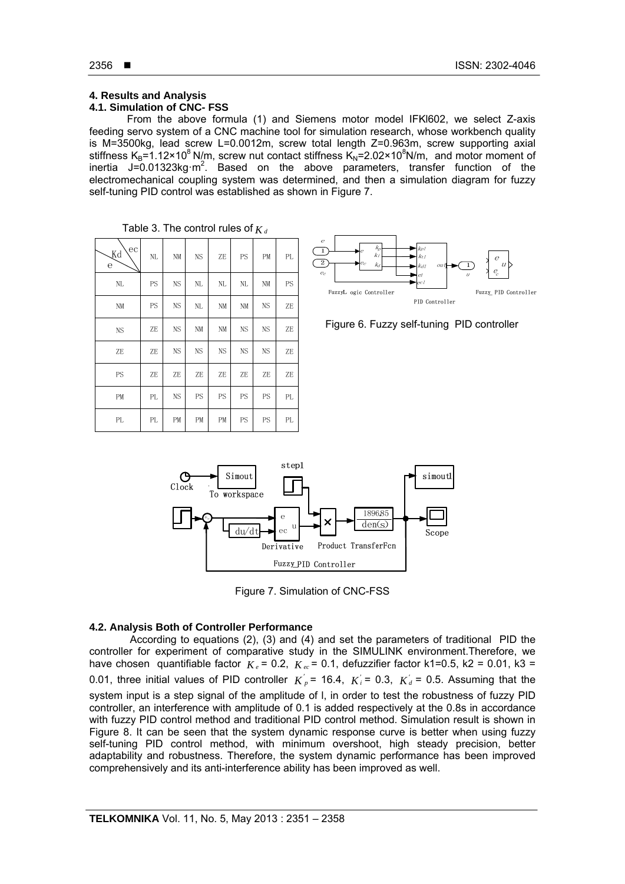# **4. Results and Analysis**

# **4.1. Simulation of CNC- FSS**

From the above formula (1) and Siemens motor model IFKl602, we select Z-axis feeding servo system of a CNC machine tool for simulation research, whose workbench quality is M=3500kg, lead screw L=0.0012m, screw total length Z=0.963m, screw supporting axial stiffness  $K_B$ =1.12×10<sup>8</sup> N/m, screw nut contact stiffness  $K_N$ =2.02×10<sup>8</sup>N/m, and motor moment of inertia J=0.01323kg·m<sup>2</sup>. Based on the above parameters, transfer function of the electromechanical coupling system was determined, and then a simulation diagram for fuzzy self-tuning PID control was established as shown in Figure 7.

| ec<br>Κd<br>$\mathbf e$ | $\rm NL$ | NM        | NS | ZE        | PS        | PM        | PL        |
|-------------------------|----------|-----------|----|-----------|-----------|-----------|-----------|
| NL                      | PS       | <b>NS</b> | NL | NL        | NL        | $\rm{NM}$ | <b>PS</b> |
| $\rm NM$                | PS       | NS        | NL | NM        | NM        | <b>NS</b> | ZE        |
| <b>NS</b>               | ZE       | <b>NS</b> | NM | NM        | <b>NS</b> | NS        | ZE        |
| ZE                      | ZE       | NS        | NS | <b>NS</b> | <b>NS</b> | <b>NS</b> | ZE        |
| PS                      | ZE       | ZE        | ZE | ZE        | ZE        | ZE        | ZE        |
| PM                      | PL       | <b>NS</b> | PS | PS        | PS        | PS        | PL        |
| PL                      | PL       | PM        | PM | PM        | PS        | PS        | PL        |

|  | Table 3. The control rules of $K_d$ |  |
|--|-------------------------------------|--|
|--|-------------------------------------|--|



Figure 6. Fuzzy self-tuning PID controller



Figure 7. Simulation of CNC-FSS

# **4.2. Analysis Both of Controller Performance**

According to equations (2), (3) and (4) and set the parameters of traditional PID the controller for experiment of comparative study in the SIMULINK environment.Therefore, we have chosen quantifiable factor  $K_e$  = 0.2,  $K_{ec}$  = 0.1, defuzzifier factor k1=0.5, k2 = 0.01, k3 = 0.01, three initial values of PID controller  $K_p'$  = 16.4,  $K_i'$  = 0.3,  $K_d'$  = 0.5. Assuming that the system input is a step signal of the amplitude of l, in order to test the robustness of fuzzy PID controller, an interference with amplitude of 0.1 is added respectively at the 0.8s in accordance with fuzzy PID control method and traditional PID control method. Simulation result is shown in Figure 8. It can be seen that the system dynamic response curve is better when using fuzzy self-tuning PID control method, with minimum overshoot, high steady precision, better adaptability and robustness. Therefore, the system dynamic performance has been improved comprehensively and its anti-interference ability has been improved as well.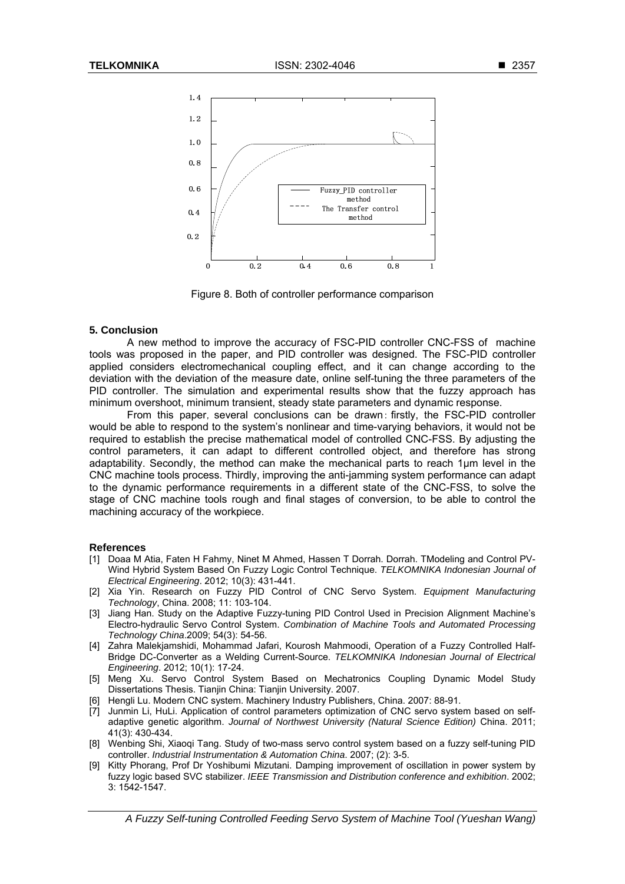

Figure 8. Both of controller performance comparison

#### **5. Conclusion**

A new method to improve the accuracy of FSC-PID controller CNC-FSS of machine tools was proposed in the paper, and PID controller was designed. The FSC-PID controller applied considers electromechanical coupling effect, and it can change according to the deviation with the deviation of the measure date, online self-tuning the three parameters of the PID controller. The simulation and experimental results show that the fuzzy approach has minimum overshoot, minimum transient, steady state parameters and dynamic response.

From this paper, several conclusions can be drawn: firstly, the FSC-PID controller would be able to respond to the system's nonlinear and time-varying behaviors, it would not be required to establish the precise mathematical model of controlled CNC-FSS. By adjusting the control parameters, it can adapt to different controlled object, and therefore has strong adaptability. Secondly, the method can make the mechanical parts to reach 1μm level in the CNC machine tools process. Thirdly, improving the anti-jamming system performance can adapt to the dynamic performance requirements in a different state of the CNC-FSS, to solve the stage of CNC machine tools rough and final stages of conversion, to be able to control the machining accuracy of the workpiece.

#### **References**

- [1] Doaa M Atia, Faten H Fahmy, Ninet M Ahmed, Hassen T Dorrah. Dorrah. TModeling and Control PV-Wind Hybrid System Based On Fuzzy Logic Control Technique. *TELKOMNIKA Indonesian Journal of Electrical Engineering*. 2012; 10(3): 431-441.
- [2] Xia Yin. Research on Fuzzy PID Control of CNC Servo System. *Equipment Manufacturing Technology*, China. 2008; 11: 103-104.
- [3] Jiang Han. Study on the Adaptive Fuzzy-tuning PID Control Used in Precision Alignment Machine's Electro-hydraulic Servo Control System. *Combination of Machine Tools and Automated Processing Technology China*.2009; 54(3): 54-56.
- [4] Zahra Malekjamshidi, Mohammad Jafari, Kourosh Mahmoodi, Operation of a Fuzzy Controlled Half-Bridge DC-Converter as a Welding Current-Source. *TELKOMNIKA Indonesian Journal of Electrical Engineering*. 2012; 10(1): 17-24.
- [5] Meng Xu. Servo Control System Based on Mechatronics Coupling Dynamic Model Study Dissertations Thesis. Tianjin China: Tianjin University. 2007.
- [6] Hengli Lu. Modern CNC system. Machinery Industry Publishers, China. 2007: 88-91.
- [7] Junmin Li, HuLi. Application of control parameters optimization of CNC servo system based on selfadaptive genetic algorithm. *Journal of Northwest University (Natural Science Edition)* China. 2011; 41(3): 430-434.
- [8] Wenbing Shi, Xiaoqi Tang. Study of two-mass servo control system based on a fuzzy self-tuning PID controller. *Industrial Instrumentation & Automation China*. 2007; (2): 3-5.
- [9] Kitty Phorang, Prof Dr Yoshibumi Mizutani. Damping improvement of oscillation in power system by fuzzy logic based SVC stabilizer. *IEEE Transmission and Distribution conference and exhibition*. 2002; 3: 1542-1547.